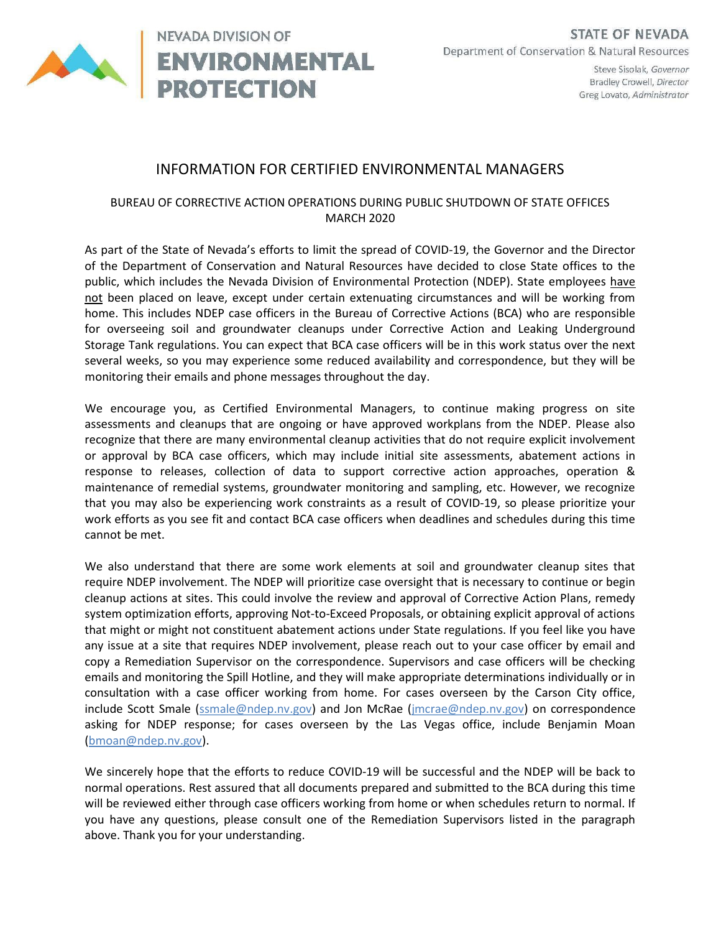

Steve Sisolak, Governor Bradley Crowell, Director Greg Lovato, Administrator

## INFORMATION FOR CERTIFIED ENVIRONMENTAL MANAGERS

## BUREAU OF CORRECTIVE ACTION OPERATIONS DURING PUBLIC SHUTDOWN OF STATE OFFICES MARCH 2020

As part of the State of Nevada's efforts to limit the spread of COVID-19, the Governor and the Director of the Department of Conservation and Natural Resources have decided to close State offices to the public, which includes the Nevada Division of Environmental Protection (NDEP). State employees have not been placed on leave, except under certain extenuating circumstances and will be working from home. This includes NDEP case officers in the Bureau of Corrective Actions (BCA) who are responsible for overseeing soil and groundwater cleanups under Corrective Action and Leaking Underground Storage Tank regulations. You can expect that BCA case officers will be in this work status over the next several weeks, so you may experience some reduced availability and correspondence, but they will be monitoring their emails and phone messages throughout the day.

We encourage you, as Certified Environmental Managers, to continue making progress on site assessments and cleanups that are ongoing or have approved workplans from the NDEP. Please also recognize that there are many environmental cleanup activities that do not require explicit involvement or approval by BCA case officers, which may include initial site assessments, abatement actions in response to releases, collection of data to support corrective action approaches, operation & maintenance of remedial systems, groundwater monitoring and sampling, etc. However, we recognize that you may also be experiencing work constraints as a result of COVID-19, so please prioritize your work efforts as you see fit and contact BCA case officers when deadlines and schedules during this time cannot be met.

We also understand that there are some work elements at soil and groundwater cleanup sites that require NDEP involvement. The NDEP will prioritize case oversight that is necessary to continue or begin cleanup actions at sites. This could involve the review and approval of Corrective Action Plans, remedy system optimization efforts, approving Not-to-Exceed Proposals, or obtaining explicit approval of actions that might or might not constituent abatement actions under State regulations. If you feel like you have any issue at a site that requires NDEP involvement, please reach out to your case officer by email and copy a Remediation Supervisor on the correspondence. Supervisors and case officers will be checking emails and monitoring the Spill Hotline, and they will make appropriate determinations individually or in consultation with a case officer working from home. For cases overseen by the Carson City office, include Scott Smale (ssmale@ndep.nv.gov) and Jon McRae (jmcrae@ndep.nv.gov) on correspondence asking for NDEP response; for cases overseen by the Las Vegas office, include Benjamin Moan (bmoan@ndep.nv.gov).

We sincerely hope that the efforts to reduce COVID-19 will be successful and the NDEP will be back to normal operations. Rest assured that all documents prepared and submitted to the BCA during this time will be reviewed either through case officers working from home or when schedules return to normal. If you have any questions, please consult one of the Remediation Supervisors listed in the paragraph above. Thank you for your understanding.